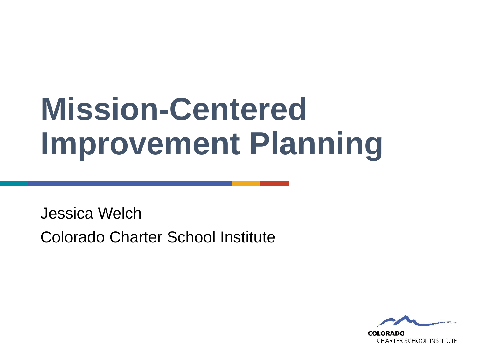# **Mission-Centered Improvement Planning**

Jessica Welch Colorado Charter School Institute

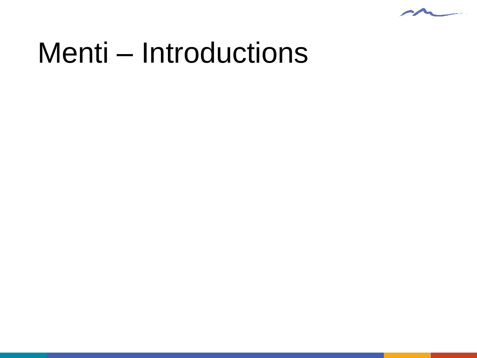

# Menti – Introductions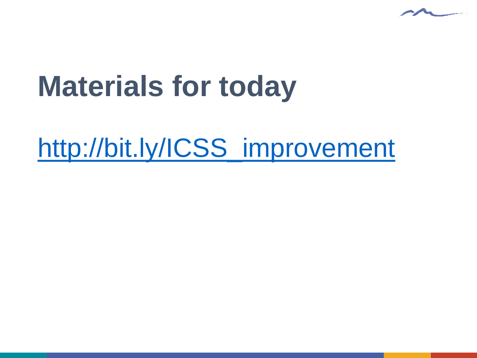

# **Materials for today**

## [http://bit.ly/ICSS\\_improvement](http://bit.ly/ICSS_improvement)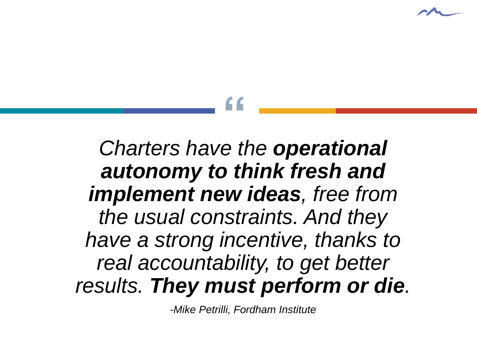

# **"**

*Charters have the operational autonomy to think fresh and implement new ideas, free from the usual constraints. And they have a strong incentive, thanks to real accountability, to get better results. They must perform or die.*

*-Mike Petrilli, Fordham Institute*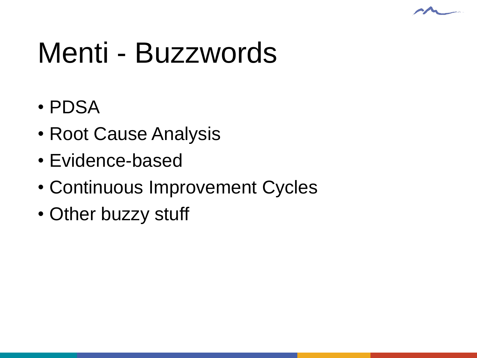

# Menti - Buzzwords

- PDSA
- Root Cause Analysis
- Evidence-based
- Continuous Improvement Cycles
- Other buzzy stuff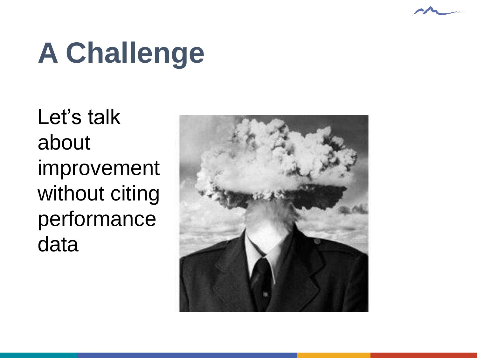# **A Challenge**

Let's talk about improvement without citing performance data

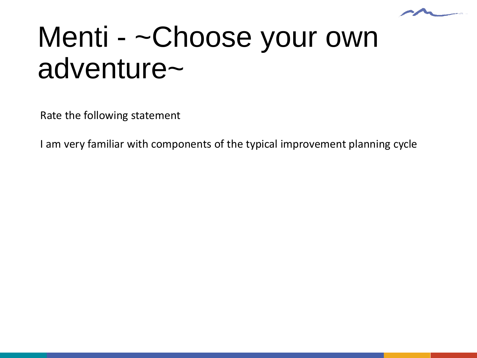

# Menti - ~Choose your own adventure~

Rate the following statement

I am very familiar with components of the typical improvement planning cycle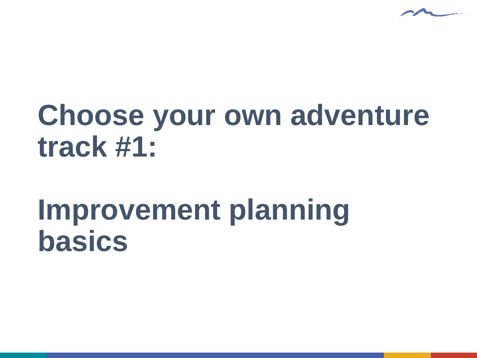

# **Choose your own adventure track #1:**

## **Improvement planning basics**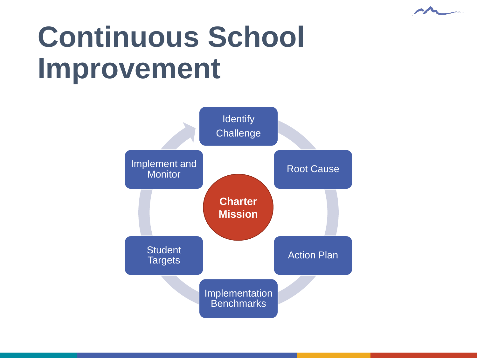

# **Continuous School Improvement**

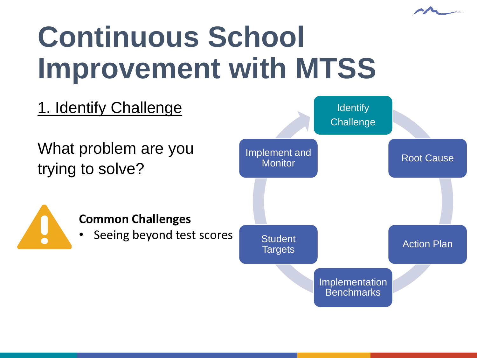

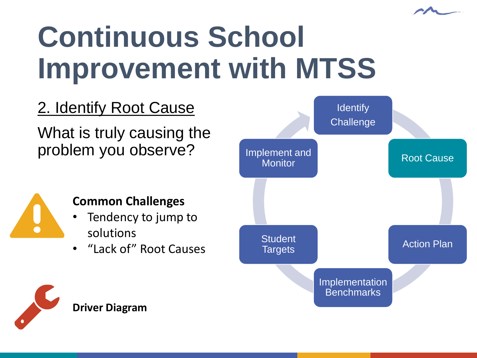

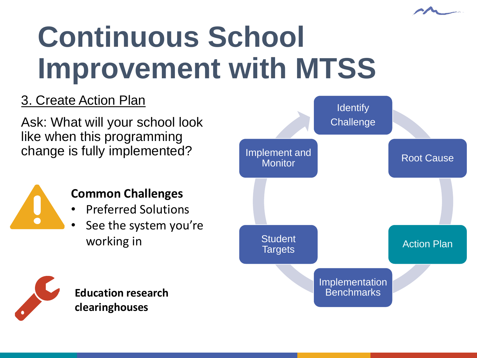

#### 3. Create Action Plan

Ask: What will your school look like when this programming change is fully implemented?



#### **Common Challenges**

- Preferred Solutions
- See the system you're working in



**Education research clearinghouses**

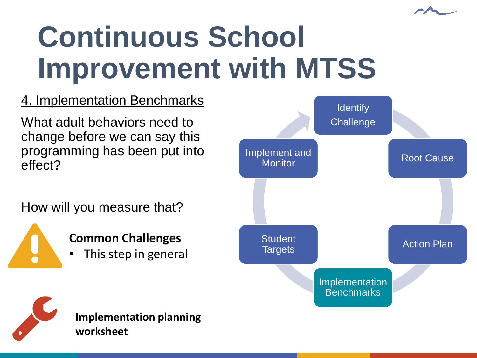

#### 4. Implementation Benchmarks

What adult behaviors need to change before we can say this programming has been put into effect?

How will you measure that?

**Common Challenges**

This step in general





**Implementation planning worksheet**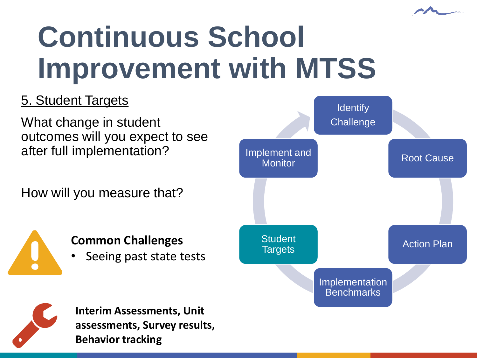

#### 5. Student Targets

What change in student outcomes will you expect to see after full implementation?

How will you measure that?



#### **Common Challenges**

Seeing past state tests





**Interim Assessments, Unit assessments, Survey results, Behavior tracking**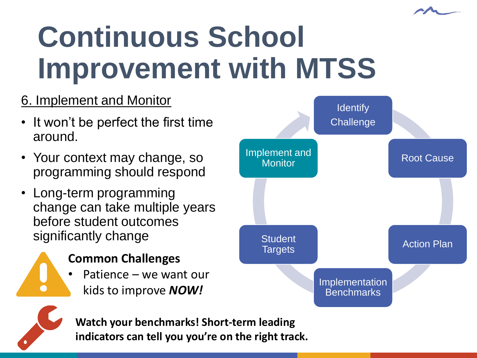

#### 6. Implement and Monitor

- It won't be perfect the first time around.
- Your context may change, so programming should respond
- Long-term programming change can take multiple years before student outcomes significantly change



- Patience we want our
	- kids to improve *NOW!*





**Watch your benchmarks! Short-term leading indicators can tell you you're on the right track.**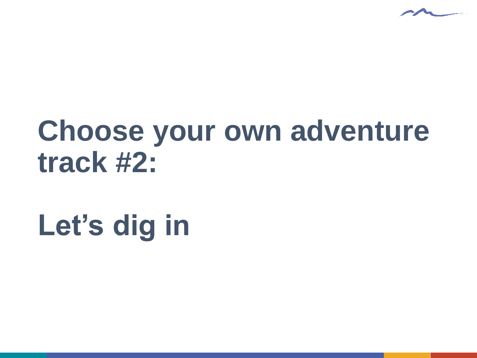

# **Choose your own adventure track #2:**

# **Let's dig in**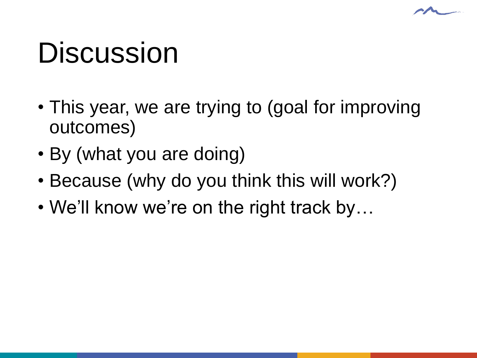# **Discussion**

- This year, we are trying to (goal for improving outcomes)
- By (what you are doing)
- Because (why do you think this will work?)
- We'll know we're on the right track by...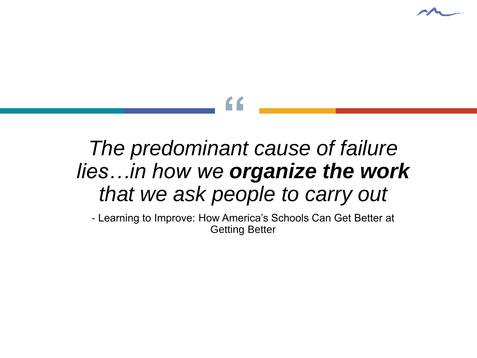

# **"**

### *The predominant cause of failure lies…in how we organize the work that we ask people to carry out*

- Learning to Improve: How America's Schools Can Get Better at Getting Better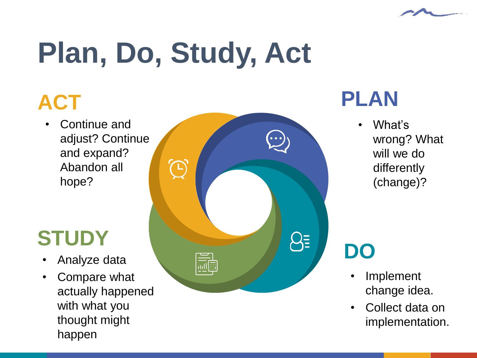

## **ACT**

• Continue and adjust? Continue and expand? Abandon all hope?

## **STUDY**

- 
- Compare what actually happened with what you thought might happen



### **PLAN**

• What's wrong? What will we do differently (change)?

- **Implement** change idea.
- Collect data on implementation.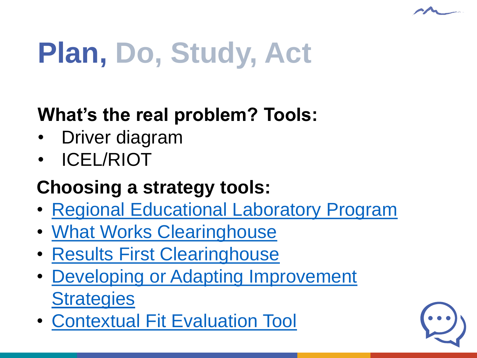

#### **What's the real problem? Tools:**

- Driver diagram
- ICEL/RIOT

#### **Choosing a strategy tools:**

- [Regional Educational Laboratory Program](https://ies.ed.gov/ncee/edlabs/)
- [What Works Clearinghouse](https://ies.ed.gov/ncee/wwc/)
- [Results First Clearinghouse](https://www.pewtrusts.org/en/research-and-analysis/data-visualizations/2015/results-first-clearinghouse-database)
- [Developing or Adapting Improvement](https://drive.google.com/file/d/1n-8WUICau3aNLARtY_L6WxpDpKjnKcVX/view?usp=sharing)  **Strategies**
- [Contextual Fit Evaluation Tool](https://drive.google.com/file/d/1X2p3Cr5wKG-BHWZOXc-C0a1TDrZ4jz02/view?usp=sharing)

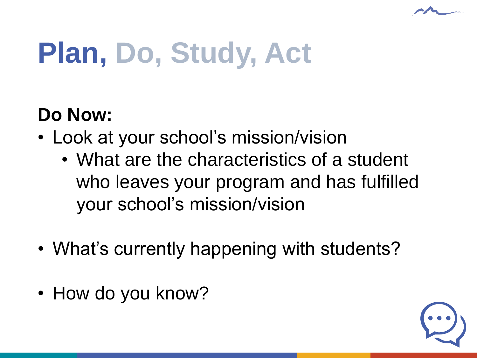

#### **Do Now:**

- Look at your school's mission/vision
	- What are the characteristics of a student who leaves your program and has fulfilled your school's mission/vision
- What's currently happening with students?
- How do you know?

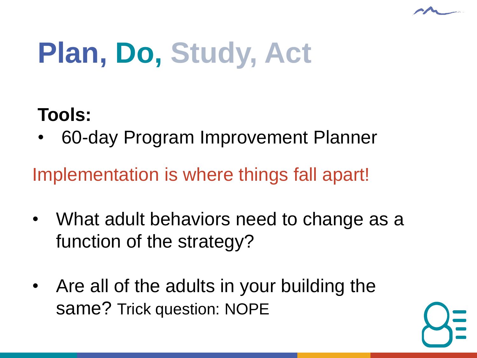

#### **Tools:**

• 60-day Program Improvement Planner

Implementation is where things fall apart!

- What adult behaviors need to change as a function of the strategy?
- Are all of the adults in your building the same? Trick question: NOPE

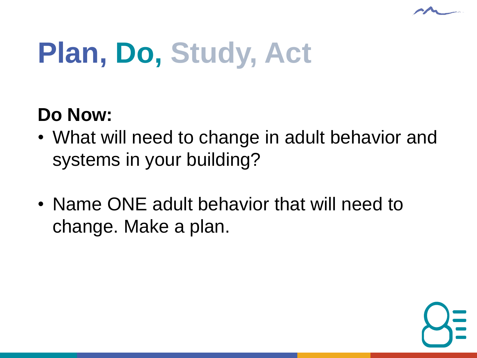

#### **Do Now:**

- What will need to change in adult behavior and systems in your building?
- Name ONE adult behavior that will need to change. Make a plan.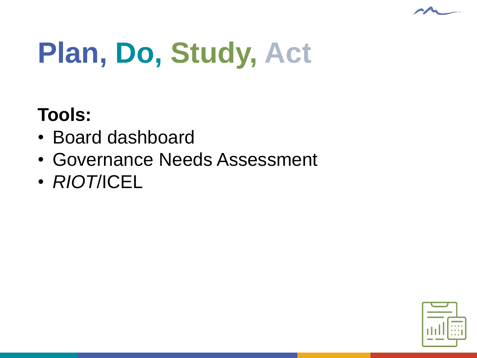

### **Tools:**

- Board dashboard
- Governance Needs Assessment
- *RIOT*/ICEL

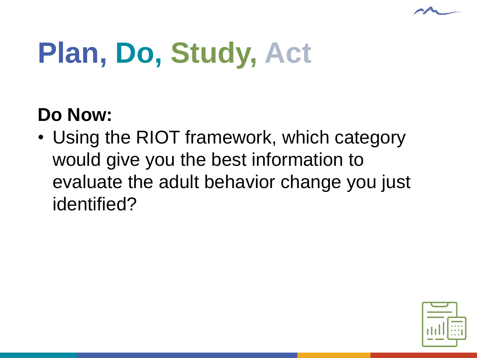

#### **Do Now:**

• Using the RIOT framework, which category would give you the best information to evaluate the adult behavior change you just identified?

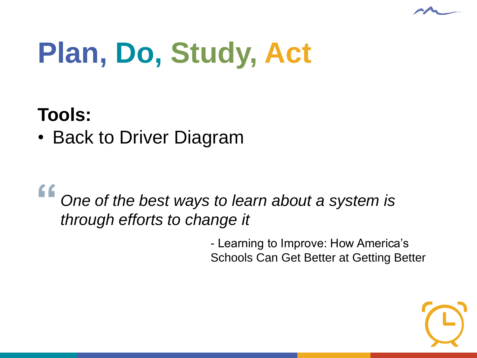

#### **Tools:**

• Back to Driver Diagram

## *One of the best ways to learn about a system is through efforts to change it*

- Learning to Improve: How America's Schools Can Get Better at Getting Better

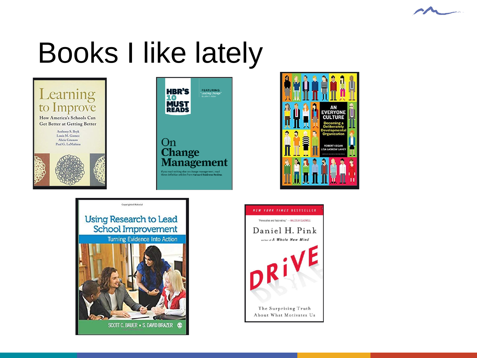

# Books I like lately